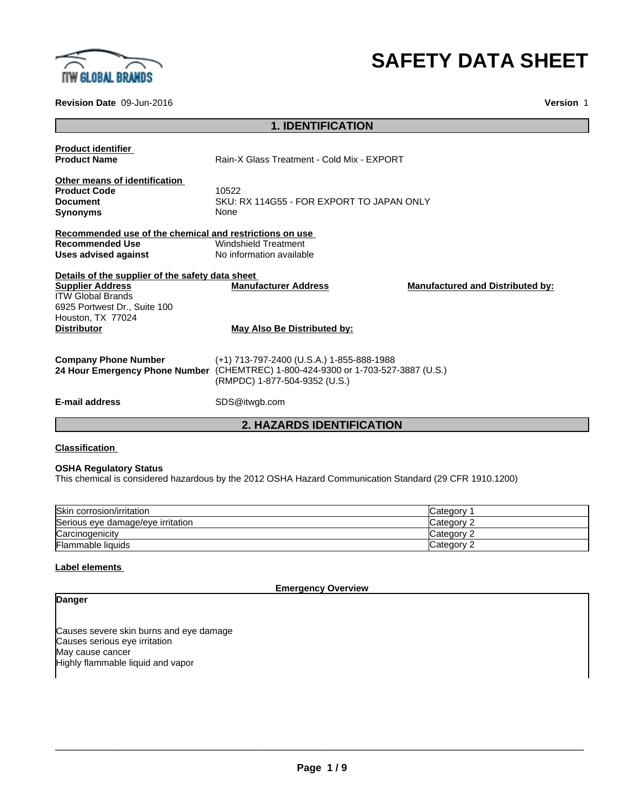

# **SAFETY DATA SHEET**

**Revision Date** 09-Jun-2016 **Version** 1

|                                                         | <b>1. IDENTIFICATION</b>                                                          |                                         |
|---------------------------------------------------------|-----------------------------------------------------------------------------------|-----------------------------------------|
| <b>Product identifier</b>                               |                                                                                   |                                         |
| <b>Product Name</b>                                     | Rain-X Glass Treatment - Cold Mix - EXPORT                                        |                                         |
| Other means of identification                           |                                                                                   |                                         |
| <b>Product Code</b>                                     | 10522                                                                             |                                         |
| <b>Document</b>                                         | SKU: RX 114G55 - FOR EXPORT TO JAPAN ONLY                                         |                                         |
| <b>Synonyms</b>                                         | None                                                                              |                                         |
| Recommended use of the chemical and restrictions on use |                                                                                   |                                         |
| <b>Recommended Use</b>                                  | Windshield Treatment                                                              |                                         |
| Uses advised against                                    | No information available                                                          |                                         |
| Details of the supplier of the safety data sheet        |                                                                                   |                                         |
| <b>Supplier Address</b>                                 | <b>Manufacturer Address</b>                                                       | <b>Manufactured and Distributed by:</b> |
| <b>ITW Global Brands</b>                                |                                                                                   |                                         |
| 6925 Portwest Dr., Suite 100                            |                                                                                   |                                         |
| Houston, TX 77024                                       |                                                                                   |                                         |
| <b>Distributor</b>                                      | May Also Be Distributed by:                                                       |                                         |
|                                                         |                                                                                   |                                         |
| <b>Company Phone Number</b>                             | (+1) 713-797-2400 (U.S.A.) 1-855-888-1988                                         |                                         |
|                                                         | 24 Hour Emergency Phone Number (CHEMTREC) 1-800-424-9300 or 1-703-527-3887 (U.S.) |                                         |
|                                                         | (RMPDC) 1-877-504-9352 (U.S.)                                                     |                                         |
|                                                         |                                                                                   |                                         |
| E-mail address                                          | SDS@itwgb.com                                                                     |                                         |
|                                                         |                                                                                   |                                         |

**2. HAZARDS IDENTIFICATION**

#### **Classification**

#### **OSHA Regulatory Status**

This chemical is considered hazardous by the 2012 OSHA Hazard Communication Standard (29 CFR 1910.1200)

| Skin corrosion/irritation         | ICategorv          |
|-----------------------------------|--------------------|
| Serious eye damage/eye irritation | Category $\hat{ }$ |
| Carcinogenicity                   | Category ∩         |
| Flammable liquids                 | Category ∩         |

#### **Label elements**

**Emergency Overview**

### **Danger**

Causes severe skin burns and eye damage Causes serious eye irritation May cause cancer Highly flammable liquid and vapor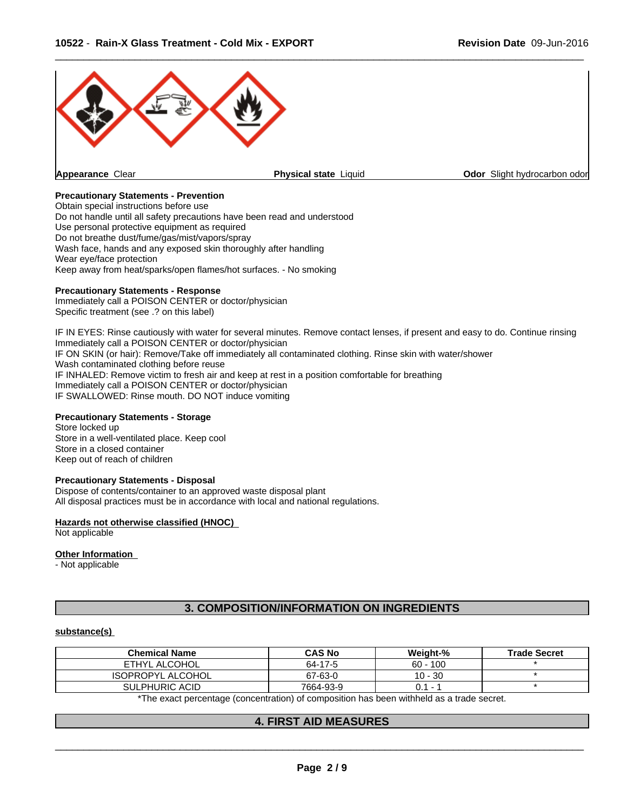

#### **Precautionary Statements - Prevention**

Obtain special instructions before use Do not handle until all safety precautions have been read and understood Use personal protective equipment as required Do not breathe dust/fume/gas/mist/vapors/spray Wash face, hands and any exposed skin thoroughly after handling Wear eye/face protection Keep away from heat/sparks/open flames/hot surfaces. - No smoking

#### **Precautionary Statements - Response**

Immediately call a POISON CENTER or doctor/physician Specific treatment (see .? on this label)

IF IN EYES: Rinse cautiously with water for several minutes. Remove contact lenses, if present and easy to do. Continue rinsing Immediately call a POISON CENTER or doctor/physician IF ON SKIN (or hair): Remove/Take off immediately all contaminated clothing. Rinse skin with water/shower Wash contaminated clothing before reuse IF INHALED: Remove victim to fresh air and keep at rest in a position comfortable for breathing Immediately call a POISON CENTER or doctor/physician IF SWALLOWED: Rinse mouth. DO NOT induce vomiting

#### **Precautionary Statements - Storage**

Store locked up Store in a well-ventilated place. Keep cool Store in a closed container Keep out of reach of children

#### **Precautionary Statements - Disposal**

Dispose of contents/container to an approved waste disposal plant All disposal practices must be in accordance with local and national regulations.

#### **Hazards not otherwise classified (HNOC)**

Not applicable

#### **Other Information**

- Not applicable

#### **3. COMPOSITION/INFORMATION ON INGREDIENTS**

#### **substance(s)**

| <b>Chemical Name</b>     | <b>CAS No</b> | Weiaht-%   | <b>Trade Secret</b> |
|--------------------------|---------------|------------|---------------------|
| ETHYL ALCOHOL            | 64-17-5       | $60 - 100$ |                     |
| <b>ISOPROPYL ALCOHOL</b> | 67-63-0       | $10 - 30$  |                     |
| SULPHURIC ACID           | 7664-93-9     | 0.1        |                     |

\*The exact percentage (concentration) of composition has been withheld as a trade secret.

#### **4. FIRST AID MEASURES**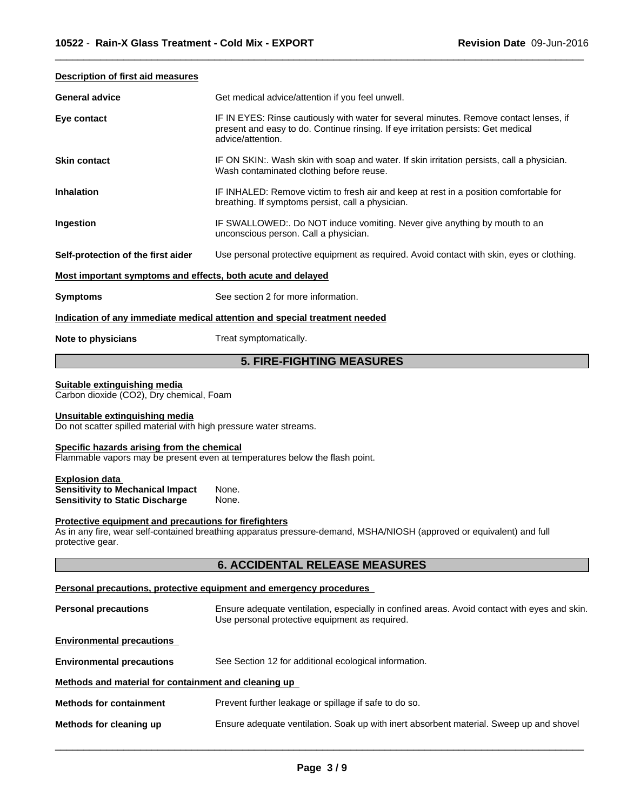#### **Description of first aid measures**

| <b>General advice</b>                                                                               | Get medical advice/attention if you feel unwell.                                                                                                                                                 |
|-----------------------------------------------------------------------------------------------------|--------------------------------------------------------------------------------------------------------------------------------------------------------------------------------------------------|
| Eye contact                                                                                         | IF IN EYES: Rinse cautiously with water for several minutes. Remove contact lenses, if<br>present and easy to do. Continue rinsing. If eye irritation persists: Get medical<br>advice/attention. |
| <b>Skin contact</b>                                                                                 | IF ON SKIN:. Wash skin with soap and water. If skin irritation persists, call a physician.<br>Wash contaminated clothing before reuse.                                                           |
| <b>Inhalation</b>                                                                                   | IF INHALED: Remove victim to fresh air and keep at rest in a position comfortable for<br>breathing. If symptoms persist, call a physician.                                                       |
| Ingestion                                                                                           | IF SWALLOWED:. Do NOT induce vomiting. Never give anything by mouth to an<br>unconscious person. Call a physician.                                                                               |
| Self-protection of the first aider                                                                  | Use personal protective equipment as required. Avoid contact with skin, eyes or clothing.                                                                                                        |
| Most important symptoms and effects, both acute and delayed                                         |                                                                                                                                                                                                  |
| <b>Symptoms</b>                                                                                     | See section 2 for more information.                                                                                                                                                              |
|                                                                                                     | Indication of any immediate medical attention and special treatment needed                                                                                                                       |
| Note to physicians                                                                                  | Treat symptomatically.                                                                                                                                                                           |
|                                                                                                     | <b>5. FIRE-FIGHTING MEASURES</b>                                                                                                                                                                 |
| Suitable extinguishing media<br>Carbon dioxide (CO2), Dry chemical, Foam                            |                                                                                                                                                                                                  |
| Unsuitable extinguishing media<br>Do not scatter spilled material with high pressure water streams. |                                                                                                                                                                                                  |
| Specific hazards arising from the chemical                                                          | Flammable vapors may be present even at temperatures below the flash point.                                                                                                                      |

 $\overline{\phantom{a}}$  ,  $\overline{\phantom{a}}$  ,  $\overline{\phantom{a}}$  ,  $\overline{\phantom{a}}$  ,  $\overline{\phantom{a}}$  ,  $\overline{\phantom{a}}$  ,  $\overline{\phantom{a}}$  ,  $\overline{\phantom{a}}$  ,  $\overline{\phantom{a}}$  ,  $\overline{\phantom{a}}$  ,  $\overline{\phantom{a}}$  ,  $\overline{\phantom{a}}$  ,  $\overline{\phantom{a}}$  ,  $\overline{\phantom{a}}$  ,  $\overline{\phantom{a}}$  ,  $\overline{\phantom{a}}$ 

#### **Explosion data**

| <b>Sensitivity to Mechanical Impact</b> | None. |  |
|-----------------------------------------|-------|--|
| Sensitivity to Static Discharge         | None. |  |

#### **Protective equipment and precautions for firefighters**

As in any fire, wear self-contained breathing apparatus pressure-demand, MSHA/NIOSH (approved or equivalent) and full protective gear.

#### **6. ACCIDENTAL RELEASE MEASURES**

#### **Personal precautions, protective equipment and emergency procedures**

**Personal precautions** Ensure adequate ventilation, especially in confined areas. Avoid contact with eyes and skin. Use personal protective equipment as required.

 $\overline{\phantom{a}}$  ,  $\overline{\phantom{a}}$  ,  $\overline{\phantom{a}}$  ,  $\overline{\phantom{a}}$  ,  $\overline{\phantom{a}}$  ,  $\overline{\phantom{a}}$  ,  $\overline{\phantom{a}}$  ,  $\overline{\phantom{a}}$  ,  $\overline{\phantom{a}}$  ,  $\overline{\phantom{a}}$  ,  $\overline{\phantom{a}}$  ,  $\overline{\phantom{a}}$  ,  $\overline{\phantom{a}}$  ,  $\overline{\phantom{a}}$  ,  $\overline{\phantom{a}}$  ,  $\overline{\phantom{a}}$ 

#### **Environmental precautions**

**Environmental precautions** See Section 12 for additional ecological information.

#### **Methods and material for containment and cleaning up**

**Methods for containment** Prevent further leakage or spillage if safe to do so.

**Methods for cleaning up** Ensure adequate ventilation. Soak up with inert absorbent material. Sweep up and shovel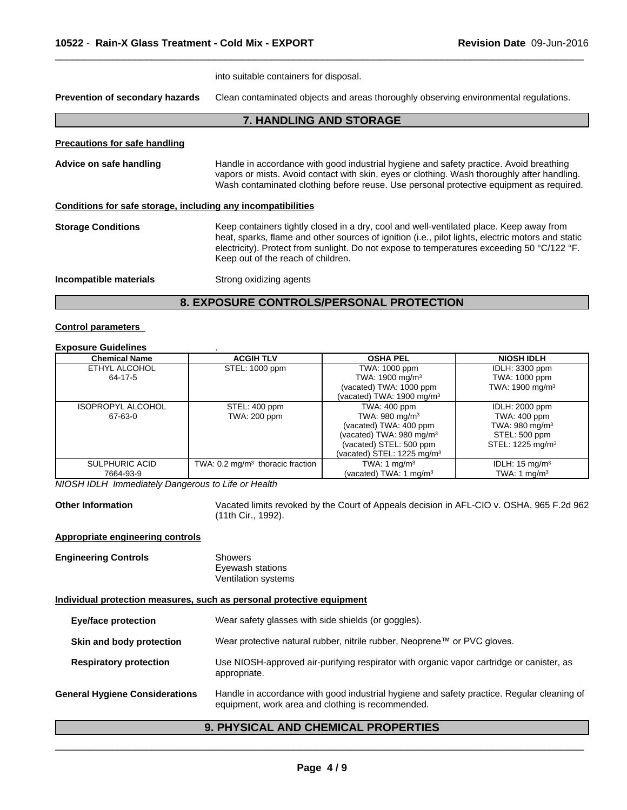|                                                              | into suitable containers for disposal.                                                                                                                                                                                                                                                                                           |  |  |
|--------------------------------------------------------------|----------------------------------------------------------------------------------------------------------------------------------------------------------------------------------------------------------------------------------------------------------------------------------------------------------------------------------|--|--|
| Prevention of secondary hazards                              | Clean contaminated objects and areas thoroughly observing environmental regulations.                                                                                                                                                                                                                                             |  |  |
|                                                              | 7. HANDLING AND STORAGE                                                                                                                                                                                                                                                                                                          |  |  |
| <b>Precautions for safe handling</b>                         |                                                                                                                                                                                                                                                                                                                                  |  |  |
| Advice on safe handling                                      | Handle in accordance with good industrial hygiene and safety practice. Avoid breathing<br>vapors or mists. Avoid contact with skin, eyes or clothing. Wash thoroughly after handling.<br>Wash contaminated clothing before reuse. Use personal protective equipment as required.                                                 |  |  |
| Conditions for safe storage, including any incompatibilities |                                                                                                                                                                                                                                                                                                                                  |  |  |
| <b>Storage Conditions</b>                                    | Keep containers tightly closed in a dry, cool and well-ventilated place. Keep away from<br>heat, sparks, flame and other sources of ignition (i.e., pilot lights, electric motors and static<br>electricity). Protect from sunlight. Do not expose to temperatures exceeding 50 °C/122 °F.<br>Keep out of the reach of children. |  |  |
| Incompatible materials                                       | Strong oxidizing agents                                                                                                                                                                                                                                                                                                          |  |  |
|                                                              |                                                                                                                                                                                                                                                                                                                                  |  |  |

# **8. EXPOSURE CONTROLS/PERSONAL PROTECTION**

#### **Control parameters**

#### **Exposure Guidelines** .

| <b>Chemical Name</b>     | <b>ACGIH TLV</b>                            | <b>OSHA PEL</b>                       | <b>NIOSH IDLH</b>            |
|--------------------------|---------------------------------------------|---------------------------------------|------------------------------|
| ETHYL ALCOHOL            | STEL: 1000 ppm                              | TWA: 1000 ppm                         | IDLH: 3300 ppm               |
| 64-17-5                  |                                             | TWA: 1900 mg/m <sup>3</sup>           | TWA: 1000 ppm                |
|                          |                                             | (vacated) TWA: 1000 ppm               | TWA: $1900 \text{ mg/m}^3$   |
|                          |                                             | (vacated) TWA: 1900 mg/m <sup>3</sup> |                              |
| <b>ISOPROPYL ALCOHOL</b> | STEL: 400 ppm                               |                                       | <b>IDLH: 2000 ppm</b>        |
| 67-63-0                  | TWA: 200 ppm                                | TWA: $980 \text{ mg/m}^3$             | TWA: 400 ppm                 |
|                          |                                             | (vacated) TWA: 400 ppm                | TWA: 980 mg/m <sup>3</sup>   |
|                          |                                             | (vacated) TWA: 980 mg/m <sup>3</sup>  | STEL: 500 ppm                |
|                          |                                             | (vacated) STEL: 500 ppm               | STEL: 1225 mg/m <sup>3</sup> |
|                          |                                             | (vacated) STEL: 1225 mg/m $3$         |                              |
| SULPHURIC ACID           | TWA: $0.2 \text{ mg/m}^3$ thoracic fraction | TWA: 1 $mg/m3$                        | IDLH: $15 \text{ mg/m}^3$    |
| 7664-93-9                |                                             | (vacated) TWA: 1 $mq/m3$              | TWA: 1 $mq/m3$               |

*NIOSH IDLH Immediately Dangerous to Life or Health*

Other Information **Vacated limits revoked by the Court of Appeals decision in AFL-CIO v. OSHA, 965 F.2d 962** (11th Cir., 1992).

#### **Appropriate engineering controls**

| <b>Engineering Controls</b> | Showers             |  |
|-----------------------------|---------------------|--|
|                             | Eyewash stations    |  |
|                             | Ventilation systems |  |

#### **Individual protection measures, such as personal protective equipment**

| Eye/face protection                   | Wear safety glasses with side shields (or goggles).                                                                                             |  |  |
|---------------------------------------|-------------------------------------------------------------------------------------------------------------------------------------------------|--|--|
| Skin and body protection              | Wear protective natural rubber, nitrile rubber, Neoprene™ or PVC gloves.                                                                        |  |  |
| <b>Respiratory protection</b>         | Use NIOSH-approved air-purifying respirator with organic vapor cartridge or canister, as<br>appropriate.                                        |  |  |
| <b>General Hygiene Considerations</b> | Handle in accordance with good industrial hygiene and safety practice. Regular cleaning of<br>equipment, work area and clothing is recommended. |  |  |

# **9. PHYSICAL AND CHEMICAL PROPERTIES**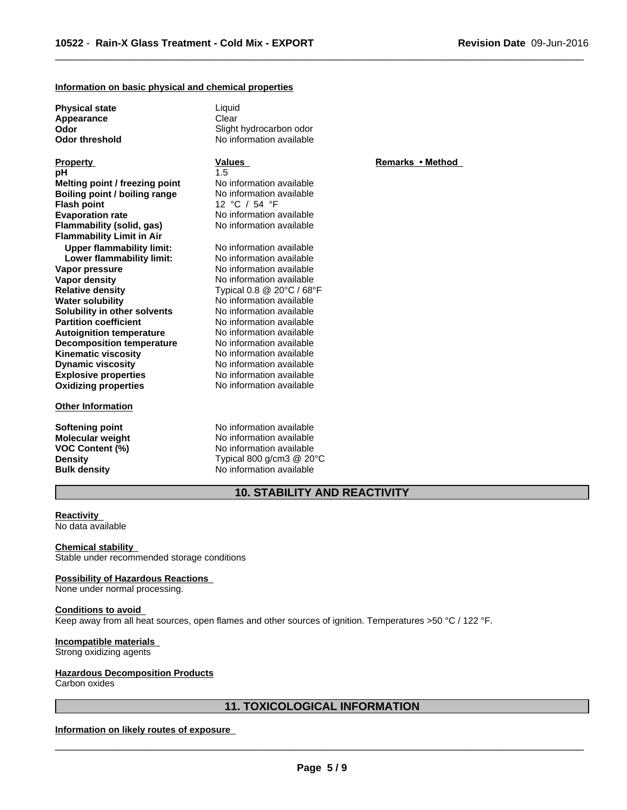**Physical state** Liquid **Appearance** Clear

**Explosive properties** No information available **Oxidizing properties** No information available **Property Remarks •Method Values Remarks** •Method **pH** 1.5 **Melting point / freezing point** No information available **Boiling point / boiling range No information available Flash point** 12 °C / 54 °F **Evaporation rate rate** No information available<br> **Flammability (solid. gas)** No information available **Flammability** (solid, gas) **Flammability Limit in Air Upper flammability limit:** No information available **Lower flammability limit:** No information available **Vapor pressure** No information available **Vapor density No information available Relative density** Typical 0.8 @ 20°C / 68°F **Water solubility** No information available **Solubility in other solvents** No information available **Partition coefficient**<br> **Autoignition temperature**<br>
No information available **Autoignition temperature No information available**<br>**Decomposition temperature No information available Decomposition temperature** No information available<br>**Kinematic viscosity** No information available **Kinematic viscosity Dynamic viscosity** No information available

#### **Other Information**

**Odor** Slight hydrocarbon odor **Odor threshold** No information available

**Softening point**<br> **Molecular weight**<br> **Molecular weight**<br> **Molecular weight**<br> **Molecular weight Molecular weight Molecular <b>weight** No information available<br> **VOC Content (%)** No information available **VOC Content (%)** No information available **Density Density Typical 800 g/cm3 @ 20°C Bulk density** No information available

**10. STABILITY AND REACTIVITY**

**Reactivity** No data available

**Chemical stability** Stable under recommended storage conditions

#### **Possibility of Hazardous Reactions**

None under normal processing.

#### **Conditions to avoid**

Keep away from all heat sources, open flames and other sources of ignition. Temperatures >50 °C / 122 °F.

#### **Incompatible materials**

Strong oxidizing agents

#### **Hazardous Decomposition Products**

Carbon oxides

#### **11. TOXICOLOGICAL INFORMATION**

#### **Information on likely routes of exposure**

 $\overline{\phantom{a}}$  ,  $\overline{\phantom{a}}$  ,  $\overline{\phantom{a}}$  ,  $\overline{\phantom{a}}$  ,  $\overline{\phantom{a}}$  ,  $\overline{\phantom{a}}$  ,  $\overline{\phantom{a}}$  ,  $\overline{\phantom{a}}$  ,  $\overline{\phantom{a}}$  ,  $\overline{\phantom{a}}$  ,  $\overline{\phantom{a}}$  ,  $\overline{\phantom{a}}$  ,  $\overline{\phantom{a}}$  ,  $\overline{\phantom{a}}$  ,  $\overline{\phantom{a}}$  ,  $\overline{\phantom{a}}$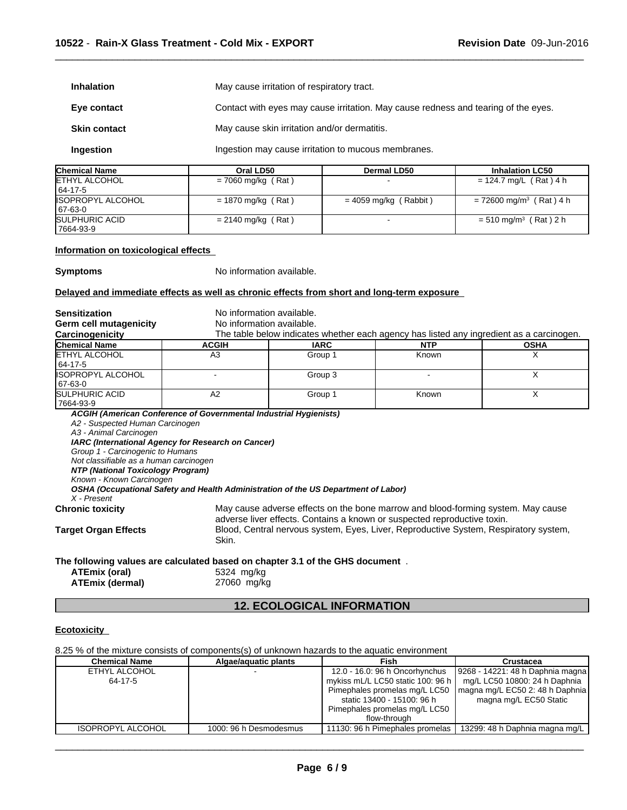| May cause irritation of respiratory tract.<br><b>Inhalation</b>  |                                              |                                                                                    |                          |  |  |
|------------------------------------------------------------------|----------------------------------------------|------------------------------------------------------------------------------------|--------------------------|--|--|
| Eye contact                                                      |                                              | Contact with eyes may cause irritation. May cause redness and tearing of the eyes. |                          |  |  |
| <b>Skin contact</b>                                              | May cause skin irritation and/or dermatitis. |                                                                                    |                          |  |  |
| Ingestion may cause irritation to mucous membranes.<br>Ingestion |                                              |                                                                                    |                          |  |  |
| Chemical Name                                                    | Oral LD50                                    | <b>Dermal LD50</b>                                                                 | <b>Inhalation LC50</b>   |  |  |
| ETHYL ALCOHOL                                                    | $= 7060$ ma/ka (Rat)                         |                                                                                    | $= 124.7$ mg/L (Rat) 4 h |  |  |

| <b>IETHYL ALCOHOL</b>                | $= 7060$ mg/kg (Rat) |                         | = 124.7 mg/L (Rat) 4 h                |
|--------------------------------------|----------------------|-------------------------|---------------------------------------|
| 64-17-5                              |                      |                         |                                       |
| <b>ISOPROPYL ALCOHOL</b><br>67-63-0  | $= 1870$ mg/kg (Rat) | $= 4059$ mg/kg (Rabbit) | $= 72600$ mg/m <sup>3</sup> (Rat) 4 h |
| <b>SULPHURIC ACID</b><br>  7664-93-9 | $= 2140$ mg/kg (Rat) |                         | $= 510$ mg/m <sup>3</sup> (Rat) 2 h   |

#### **Information on toxicological effects**

**Symptoms** No information available.

#### **Delayed and immediate effects as well as chronic effects from short and long-term exposure**

| <b>Sensitization</b>                                                                                                                                                                                                                                                                                           | No information available.                                                                                                                |                           |                                                                                          |             |  |  |
|----------------------------------------------------------------------------------------------------------------------------------------------------------------------------------------------------------------------------------------------------------------------------------------------------------------|------------------------------------------------------------------------------------------------------------------------------------------|---------------------------|------------------------------------------------------------------------------------------|-------------|--|--|
| Germ cell mutagenicity                                                                                                                                                                                                                                                                                         |                                                                                                                                          | No information available. |                                                                                          |             |  |  |
| Carcinogenicity                                                                                                                                                                                                                                                                                                |                                                                                                                                          |                           | The table below indicates whether each agency has listed any ingredient as a carcinogen. |             |  |  |
| <b>Chemical Name</b>                                                                                                                                                                                                                                                                                           | <b>ACGIH</b>                                                                                                                             | <b>IARC</b>               | <b>NTP</b>                                                                               | <b>OSHA</b> |  |  |
| <b>ETHYL ALCOHOL</b>                                                                                                                                                                                                                                                                                           | A <sub>3</sub>                                                                                                                           | Group 1                   | Known                                                                                    | X.          |  |  |
| 64-17-5                                                                                                                                                                                                                                                                                                        |                                                                                                                                          |                           |                                                                                          |             |  |  |
| <b>ISOPROPYL ALCOHOL</b>                                                                                                                                                                                                                                                                                       |                                                                                                                                          | Group 3                   |                                                                                          | X           |  |  |
| 67-63-0                                                                                                                                                                                                                                                                                                        |                                                                                                                                          |                           |                                                                                          |             |  |  |
| <b>SULPHURIC ACID</b>                                                                                                                                                                                                                                                                                          | A2                                                                                                                                       | Group 1                   | Known                                                                                    | X           |  |  |
| 7664-93-9                                                                                                                                                                                                                                                                                                      |                                                                                                                                          |                           |                                                                                          |             |  |  |
| A2 - Suspected Human Carcinogen<br>A3 - Animal Carcinogen<br>Group 1 - Carcinogenic to Humans<br>Not classifiable as a human carcinogen<br>NTP (National Toxicology Program)<br>Known - Known Carcinogen<br>$X$ - Present                                                                                      | IARC (International Agency for Research on Cancer)<br>OSHA (Occupational Safety and Health Administration of the US Department of Labor) |                           |                                                                                          |             |  |  |
| May cause adverse effects on the bone marrow and blood-forming system. May cause<br><b>Chronic toxicity</b><br>adverse liver effects. Contains a known or suspected reproductive toxin.<br>Blood, Central nervous system, Eyes, Liver, Reproductive System, Respiratory system,<br><b>Target Organ Effects</b> |                                                                                                                                          |                           |                                                                                          |             |  |  |
|                                                                                                                                                                                                                                                                                                                | Skin.<br>The following values are calculated based on chapter 3.1 of the GHS document.                                                   |                           |                                                                                          |             |  |  |
|                                                                                                                                                                                                                                                                                                                |                                                                                                                                          |                           |                                                                                          |             |  |  |

| ATEmix (oral)   | 5324 mg/kg  |
|-----------------|-------------|
| ATEmix (dermal) | 27060 mg/kg |

# **12. ECOLOGICAL INFORMATION**

#### **Ecotoxicity**

#### 8.25 % of the mixture consists of components(s) of unknown hazards to the aquatic environment

| 12.0 - 16.0: 96 h Oncorhynchus<br>ETHYL ALCOHOL<br>mykiss mL/L LC50 static 100: 96 h<br>64-17-5<br>Pimephales promelas mg/L LC50<br>magna mg/L EC50 Static<br>static 13400 - 15100: 96 h<br>Pimephales promelas mg/L LC50<br>flow-through | <b>Chemical Name</b>     | Algae/aguatic plants   | Fish                            | Crustacea                                                                                            |
|-------------------------------------------------------------------------------------------------------------------------------------------------------------------------------------------------------------------------------------------|--------------------------|------------------------|---------------------------------|------------------------------------------------------------------------------------------------------|
|                                                                                                                                                                                                                                           |                          |                        |                                 | 9268 - 14221: 48 h Daphnia magna<br>mg/L LC50 10800: 24 h Daphnia<br>magna mg/L EC50 2: 48 h Daphnia |
|                                                                                                                                                                                                                                           | <b>ISOPROPYL ALCOHOL</b> | 1000: 96 h Desmodesmus | 11130: 96 h Pimephales promelas | 13299: 48 h Daphnia magna mg/L                                                                       |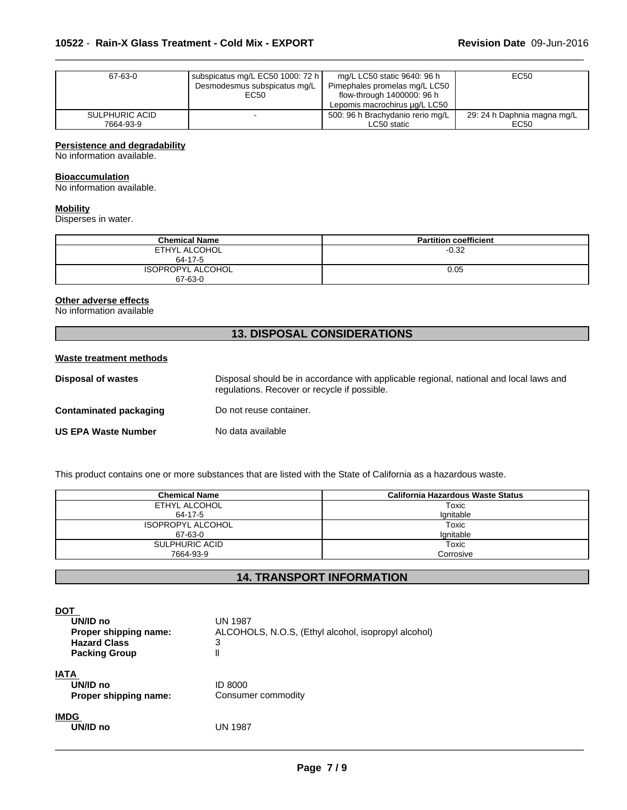| 67-63-0        | subspicatus mg/L EC50 1000: 72 h | mg/L LC50 static 9640: 96 h      | EC50                        |
|----------------|----------------------------------|----------------------------------|-----------------------------|
|                | Desmodesmus subspicatus mg/L     | Pimephales promelas mg/L LC50    |                             |
|                | EC50                             | flow-through 1400000: 96 h       |                             |
|                |                                  | Lepomis macrochirus ug/L LC50    |                             |
| SULPHURIC ACID |                                  | 500: 96 h Brachydanio rerio mg/L | 29: 24 h Daphnia magna mg/L |
| 7664-93-9      |                                  | LC50 static                      | EC50                        |

#### **Persistence and degradability**

No information available.

#### **Bioaccumulation**

No information available.

#### **Mobility**

Disperses in water.

| <b>Chemical Name</b>                | <b>Partition coefficient</b> |
|-------------------------------------|------------------------------|
| ETHYL ALCOHOL<br>64-17-5            | $-0.32$                      |
| <b>ISOPROPYL ALCOHOL</b><br>67-63-0 | 0.05                         |

#### **Other adverse effects**

No information available

# **13. DISPOSAL CONSIDERATIONS**

#### **Waste treatment methods**

| Disposal of wastes         | Disposal should be in accordance with applicable regional, national and local laws and<br>regulations. Recover or recycle if possible. |
|----------------------------|----------------------------------------------------------------------------------------------------------------------------------------|
| Contaminated packaging     | Do not reuse container.                                                                                                                |
| <b>US EPA Waste Number</b> | No data available                                                                                                                      |

This product contains one or more substances that are listed with the State of California as a hazardous waste.

| <b>Chemical Name</b>     | California Hazardous Waste Status |
|--------------------------|-----------------------------------|
| ETHYL ALCOHOL            | Toxic                             |
| 64-17-5                  | lgnitable                         |
| <b>ISOPROPYL ALCOHOL</b> | Toxic                             |
| 67-63-0                  | lgnitable                         |
| SULPHURIC ACID           | Toxic                             |
| 7664-93-9                | Corrosive                         |

## **14. TRANSPORT INFORMATION**

| <b>DOT</b><br>UN/ID no<br>Proper shipping name:<br><b>Hazard Class</b><br><b>Packing Group</b> | <b>UN 1987</b><br>ALCOHOLS, N.O.S, (Ethyl alcohol, isopropyl alcohol)<br>3<br>II |
|------------------------------------------------------------------------------------------------|----------------------------------------------------------------------------------|
| <b>IATA</b><br>UN/ID no<br>Proper shipping name:                                               | <b>ID 8000</b><br>Consumer commodity                                             |
| <b>IMDG</b><br>UN/ID no                                                                        | <b>UN 1987</b>                                                                   |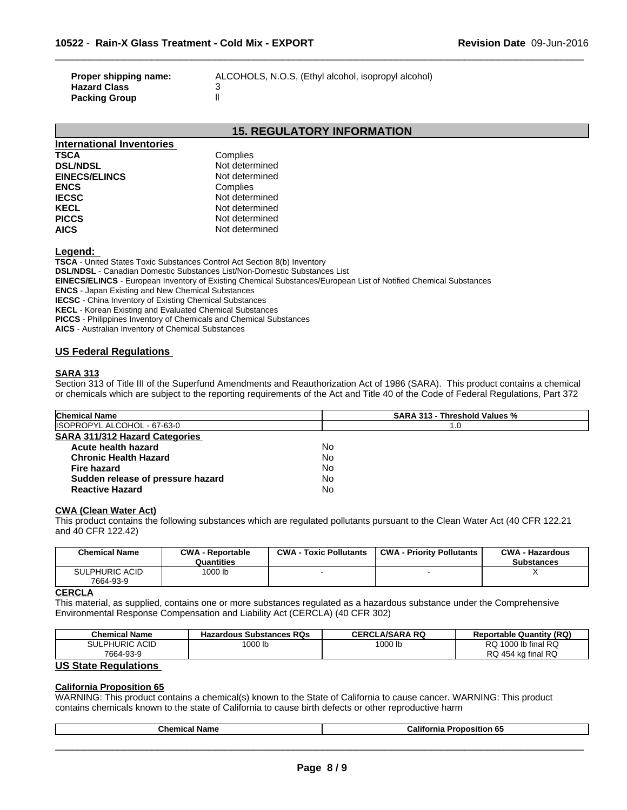| Proper shipping name: | ALCOHOLS, N.O.S. (Eth |
|-----------------------|-----------------------|
| <b>Hazard Class</b>   |                       |
| <b>Packing Group</b>  |                       |

**Proper shipping name:** ALCOHOLS, N.O.S, (Ethyl alcohol, isopropyl alcohol)

 $\overline{\phantom{a}}$  ,  $\overline{\phantom{a}}$  ,  $\overline{\phantom{a}}$  ,  $\overline{\phantom{a}}$  ,  $\overline{\phantom{a}}$  ,  $\overline{\phantom{a}}$  ,  $\overline{\phantom{a}}$  ,  $\overline{\phantom{a}}$  ,  $\overline{\phantom{a}}$  ,  $\overline{\phantom{a}}$  ,  $\overline{\phantom{a}}$  ,  $\overline{\phantom{a}}$  ,  $\overline{\phantom{a}}$  ,  $\overline{\phantom{a}}$  ,  $\overline{\phantom{a}}$  ,  $\overline{\phantom{a}}$ 

# **15. REGULATORY INFORMATION**

| International Inventories |                |
|---------------------------|----------------|
| <b>TSCA</b>               | Complies       |
| <b>DSL/NDSL</b>           | Not determined |
| <b>EINECS/ELINCS</b>      | Not determined |
| <b>ENCS</b>               | Complies       |
| <b>IECSC</b>              | Not determined |
| <b>KECL</b>               | Not determined |
| <b>PICCS</b>              | Not determined |
| <b>AICS</b>               | Not determined |

**Legend:** 

**TSCA** - United States Toxic Substances Control Act Section 8(b) Inventory **DSL/NDSL** - Canadian Domestic Substances List/Non-Domestic Substances List **EINECS/ELINCS** - European Inventory of Existing Chemical Substances/European List of Notified Chemical Substances

**ENCS** - Japan Existing and New Chemical Substances

**IECSC** - China Inventory of Existing Chemical Substances

**KECL** - Korean Existing and Evaluated Chemical Substances

**PICCS** - Philippines Inventory of Chemicals and Chemical Substances

**AICS** - Australian Inventory of Chemical Substances

#### **US Federal Regulations**

#### **SARA 313**

Section 313 of Title III of the Superfund Amendments and Reauthorization Act of 1986 (SARA). This product contains a chemical or chemicals which are subject to the reporting requirements of the Act and Title 40 of the Code of Federal Regulations, Part 372

| <b>Chemical Name</b>                  | <b>SARA 313 - Threshold Values %</b> |  |
|---------------------------------------|--------------------------------------|--|
| ISOPROPYL ALCOHOL - 67-63-0           | 1.0                                  |  |
| <b>SARA 311/312 Hazard Categories</b> |                                      |  |
| Acute health hazard                   | No                                   |  |
| <b>Chronic Health Hazard</b>          | No                                   |  |
| <b>Fire hazard</b>                    | No                                   |  |
| Sudden release of pressure hazard     | No                                   |  |
| <b>Reactive Hazard</b>                | No                                   |  |

#### **CWA (Clean WaterAct)**

This product contains the following substances which are regulated pollutants pursuant to the Clean Water Act (40 CFR 122.21 and 40 CFR 122.42)

| <b>Chemical Name</b>               | <b>CWA - Reportable</b><br>Quantities | <b>CWA - Toxic Pollutants</b> | <b>CWA - Priority Pollutants</b> | <b>CWA - Hazardous</b><br><b>Substances</b> |
|------------------------------------|---------------------------------------|-------------------------------|----------------------------------|---------------------------------------------|
| <b>SULPHURIC ACID</b><br>7664-93-9 | 1000 lb                               |                               |                                  |                                             |

#### **CERCLA**

This material, as supplied, contains one or more substances regulated as a hazardous substance under the Comprehensive Environmental Response Compensation and Liability Act (CERCLA) (40 CFR 302)

| <b>Chemical Name</b>       | <b>Hazardous Substances RQs</b> | ∟A/SARA RO<br>CERCL | <b>Reportable Quantity (RQ)</b> |
|----------------------------|---------------------------------|---------------------|---------------------------------|
| HURIC ACID<br><b>SULPH</b> | 1000 lb                         | 1000 lb             | Ib final RQ<br>1000<br>RQ       |
| 7664-93-9                  |                                 |                     | RQ<br>) 454 kg final RQ         |

#### **US State Regulations**

#### **California Proposition 65**

WARNING: This product contains a chemical(s) known to the State of California to cause cancer. WARNING: This product contains chemicals known to the state of California to cause birth defects or other reproductive harm

| $\sim$<br>-- | <br>™alin.<br>nıa<br>חר<br>. .<br>. |
|--------------|-------------------------------------|
|              |                                     |